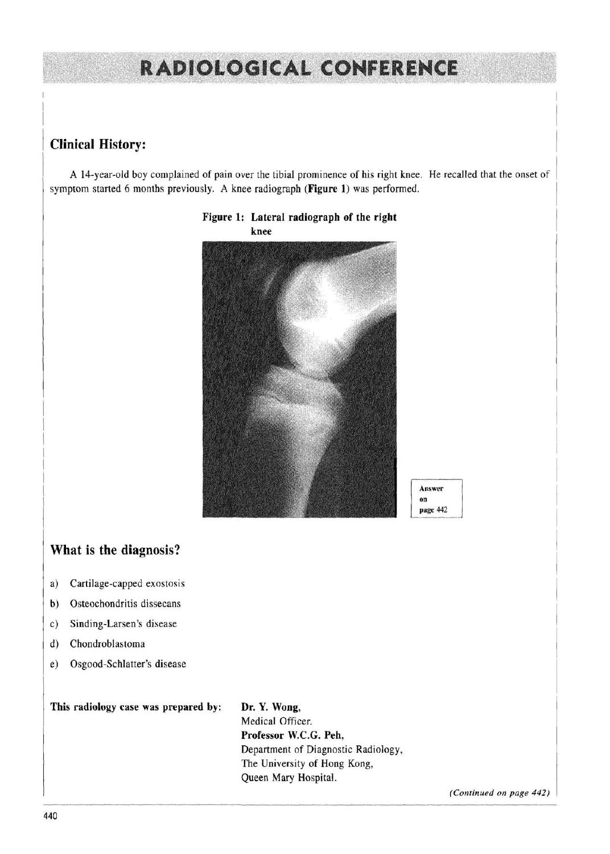# **RADIOLOGICAL CONFERENCE**

# **Clinical History:**

A 14-year-old boy complained of pain over the tibial prominence of his right knee. He recalled that the onset of symptom started 6 months previously. A knee radiograph **(Figure** 1) was performed.



#### **Figure 1: Lateral radiograph of the right knee**

### **What is the diagnosis?**

- a) Cartilage-capped exostosis
- b) Osteochondritis dissecans
- c) Sinding-Larsen's disease
- d) Chondroblastoma
- e) Osgood-Schlatter's disease

**This radiology case was prepared by: Dr. Y. Wong,**

Medical Officer. **Professor W.C.G. Peh,** Department of Diagnostic Radiology, The University of Hong Kong, Queen Mary Hospital.

*(Continued on page 442)*

**Answer on page 442**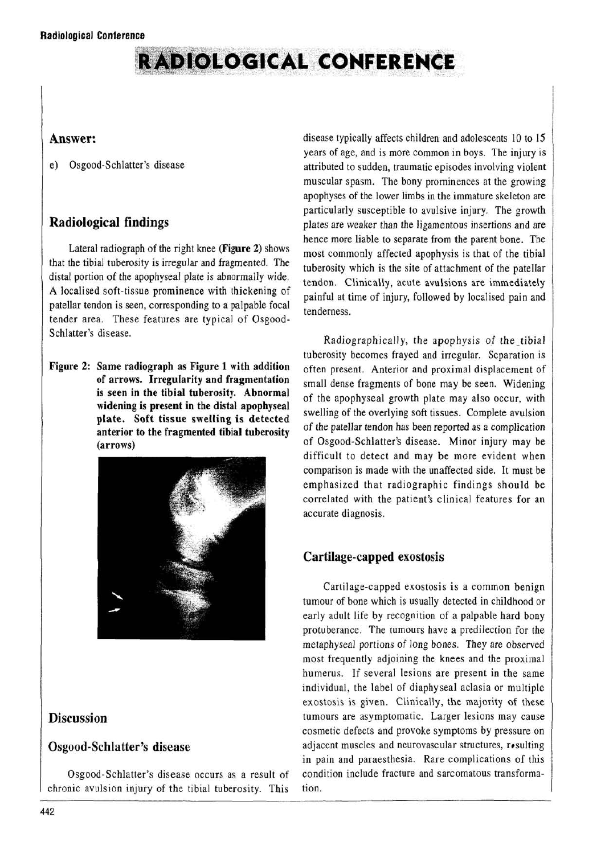# **RADIOLOGICAL CONFERENCE**

#### **Answer:**

e) Osgood-Schlatter's disease

## **Radiological findings**

Lateral radiograph of the right knee **(Figure** 2) shows that the tibial tuberosity is irregular and fragmented. The distal portion of the apophyseal plate is abnormally wide. A localised soft-tissue prominence with thickening of patellar tendon is seen, corresponding to a palpable focal tender area. These features are typical of Osgood-Schlatter's disease.

**Figure 2: Same radiograph as Figure 1 with addition of arrows. Irregularity and fragmentation is seen in the tibial tuberosity. Abnormal widening is present in the distal apophyseal plate. Soft tissue swelling is detected anterior to the fragmented tibial tuberosity (arrows)**



#### **Discussion**

#### **Osgood-Schlatter's disease**

Osgood-Schlatter's disease occurs as a result of chronic avulsion injury of the tibial tuberosity. This disease typically affects children and adolescents 10 to 15 years of age, and is more common in boys. The injury is attributed to sudden, traumatic episodes involving violent muscular spasm. The bony prominences at the growing apophyses of the lower limbs in the immature skeleton are particularly susceptible to avulsive injury. The growth plates are weaker than the ligamentous insertions and are hence more liable to separate from the parent bone. The most commonly affected apophysis is that of the tibial tuberosity which is the site of attachment of the patellar tendon. Clinically, acute avulsions are immediately painful at time of injury, followed by localised pain and tenderness.

Radiographically, the apophysis of the tibial tuberosity becomes frayed and irregular. Separation is often present. Anterior and proximal displacement of small dense fragments of bone may be seen. Widening of the apophyseal growth plate may also occur, with swelling of the overlying soft tissues. Complete avulsion of the patellar tendon has been reported as a complication of Osgood-Schlatter's disease. Minor injury may be difficult to detect and may be more evident when comparison is made with the unaffected side. It must be emphasized that radiographic findings should be correlated with the patient's clinical features for an accurate diagnosis.

### **Cartilage-capped exostosis**

Cartilage-capped exostosis is a common benign tumour of bone which is usually detected in childhood or early adult life by recognition of a palpable hard bony protuberance. The tumours have a predilection for the metaphyseal portions of long bones. They are observed most frequently adjoining the knees and the proximal humerus. If several lesions are present in the same individual, the label of diaphyseal aclasia or multiple exostosis is given. Clinically, the majority of these tumours are asymptomatic. Larger lesions may cause cosmetic defects and provoke symptoms by pressure on adjacent muscles and neurovascular structures, resulting in pain and paraesthesia. Rare complications of this condition include fracture and sarcomatous transformation.